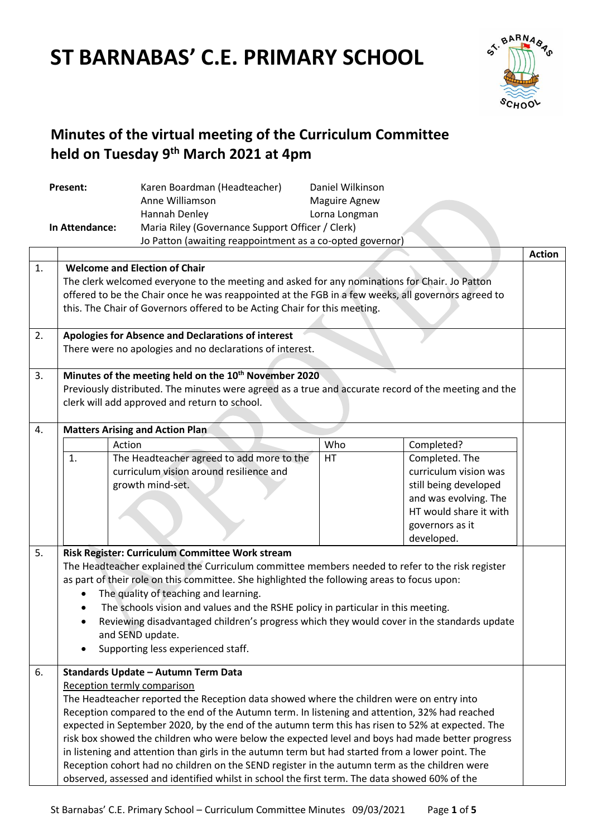# **ST BARNABAS' C.E. PRIMARY SCHOOL**



# **Minutes of the virtual meeting of the Curriculum Committee held on Tuesday 9 th March 2021 at 4pm**

| Present:<br>In Attendance: |                                                                                                                                                                                                                                                                                                                                                                                                                                                                                                                                                                                                                                                                                                                                                                               | Karen Boardman (Headteacher)<br>Anne Williamson<br>Hannah Denley                                                                                                                                                                                                                                                                                                                                                                                                                                                                                                                                                                                             | Daniel Wilkinson<br><b>Maguire Agnew</b><br>Lorna Longman<br>Maria Riley (Governance Support Officer / Clerk)<br>Jo Patton (awaiting reappointment as a co-opted governor) |                                                                                                                                                                    |               |  |  |  |
|----------------------------|-------------------------------------------------------------------------------------------------------------------------------------------------------------------------------------------------------------------------------------------------------------------------------------------------------------------------------------------------------------------------------------------------------------------------------------------------------------------------------------------------------------------------------------------------------------------------------------------------------------------------------------------------------------------------------------------------------------------------------------------------------------------------------|--------------------------------------------------------------------------------------------------------------------------------------------------------------------------------------------------------------------------------------------------------------------------------------------------------------------------------------------------------------------------------------------------------------------------------------------------------------------------------------------------------------------------------------------------------------------------------------------------------------------------------------------------------------|----------------------------------------------------------------------------------------------------------------------------------------------------------------------------|--------------------------------------------------------------------------------------------------------------------------------------------------------------------|---------------|--|--|--|
|                            |                                                                                                                                                                                                                                                                                                                                                                                                                                                                                                                                                                                                                                                                                                                                                                               |                                                                                                                                                                                                                                                                                                                                                                                                                                                                                                                                                                                                                                                              |                                                                                                                                                                            |                                                                                                                                                                    | <b>Action</b> |  |  |  |
| 1.                         | <b>Welcome and Election of Chair</b><br>The clerk welcomed everyone to the meeting and asked for any nominations for Chair. Jo Patton<br>offered to be the Chair once he was reappointed at the FGB in a few weeks, all governors agreed to<br>this. The Chair of Governors offered to be Acting Chair for this meeting.                                                                                                                                                                                                                                                                                                                                                                                                                                                      |                                                                                                                                                                                                                                                                                                                                                                                                                                                                                                                                                                                                                                                              |                                                                                                                                                                            |                                                                                                                                                                    |               |  |  |  |
| 2.                         | <b>Apologies for Absence and Declarations of interest</b><br>There were no apologies and no declarations of interest.                                                                                                                                                                                                                                                                                                                                                                                                                                                                                                                                                                                                                                                         |                                                                                                                                                                                                                                                                                                                                                                                                                                                                                                                                                                                                                                                              |                                                                                                                                                                            |                                                                                                                                                                    |               |  |  |  |
| 3.                         | Minutes of the meeting held on the 10 <sup>th</sup> November 2020<br>Previously distributed. The minutes were agreed as a true and accurate record of the meeting and the<br>clerk will add approved and return to school.                                                                                                                                                                                                                                                                                                                                                                                                                                                                                                                                                    |                                                                                                                                                                                                                                                                                                                                                                                                                                                                                                                                                                                                                                                              |                                                                                                                                                                            |                                                                                                                                                                    |               |  |  |  |
| 4.                         |                                                                                                                                                                                                                                                                                                                                                                                                                                                                                                                                                                                                                                                                                                                                                                               | <b>Matters Arising and Action Plan</b>                                                                                                                                                                                                                                                                                                                                                                                                                                                                                                                                                                                                                       |                                                                                                                                                                            |                                                                                                                                                                    |               |  |  |  |
| 5.                         | 1.<br>$\bullet$<br>$\bullet$                                                                                                                                                                                                                                                                                                                                                                                                                                                                                                                                                                                                                                                                                                                                                  | Action<br>The Headteacher agreed to add more to the<br>curriculum vision around resilience and<br>growth mind-set.<br>Risk Register: Curriculum Committee Work stream<br>The Headteacher explained the Curriculum committee members needed to refer to the risk register<br>as part of their role on this committee. She highlighted the following areas to focus upon:<br>The quality of teaching and learning.<br>The schools vision and values and the RSHE policy in particular in this meeting.<br>Reviewing disadvantaged children's progress which they would cover in the standards update<br>and SEND update.<br>Supporting less experienced staff. | Who<br>HT                                                                                                                                                                  | Completed?<br>Completed. The<br>curriculum vision was<br>still being developed<br>and was evolving. The<br>HT would share it with<br>governors as it<br>developed. |               |  |  |  |
| 6.                         | Standards Update - Autumn Term Data<br>Reception termly comparison<br>The Headteacher reported the Reception data showed where the children were on entry into<br>Reception compared to the end of the Autumn term. In listening and attention, 32% had reached<br>expected in September 2020, by the end of the autumn term this has risen to 52% at expected. The<br>risk box showed the children who were below the expected level and boys had made better progress<br>in listening and attention than girls in the autumn term but had started from a lower point. The<br>Reception cohort had no children on the SEND register in the autumn term as the children were<br>observed, assessed and identified whilst in school the first term. The data showed 60% of the |                                                                                                                                                                                                                                                                                                                                                                                                                                                                                                                                                                                                                                                              |                                                                                                                                                                            |                                                                                                                                                                    |               |  |  |  |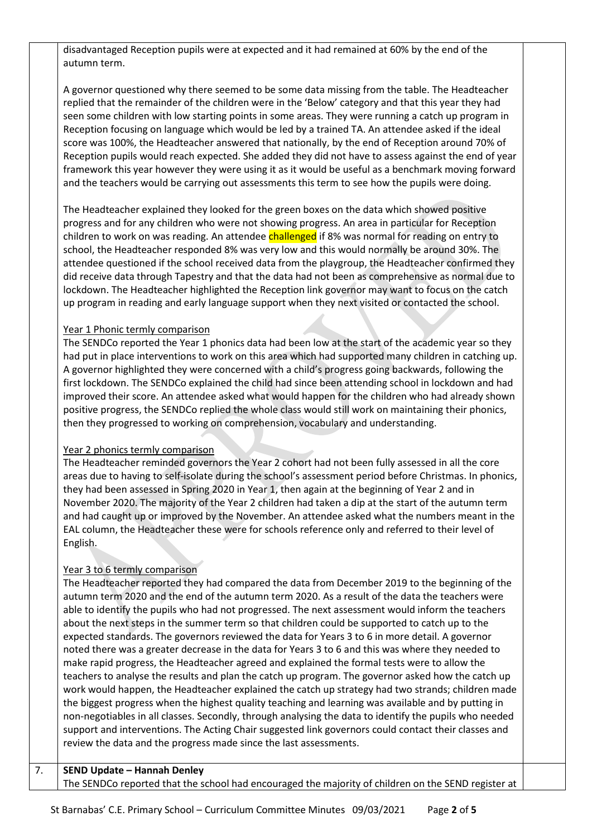disadvantaged Reception pupils were at expected and it had remained at 60% by the end of the autumn term.

A governor questioned why there seemed to be some data missing from the table. The Headteacher replied that the remainder of the children were in the 'Below' category and that this year they had seen some children with low starting points in some areas. They were running a catch up program in Reception focusing on language which would be led by a trained TA. An attendee asked if the ideal score was 100%, the Headteacher answered that nationally, by the end of Reception around 70% of Reception pupils would reach expected. She added they did not have to assess against the end of year framework this year however they were using it as it would be useful as a benchmark moving forward and the teachers would be carrying out assessments this term to see how the pupils were doing.

The Headteacher explained they looked for the green boxes on the data which showed positive progress and for any children who were not showing progress. An area in particular for Reception children to work on was reading. An attendee challenged if 8% was normal for reading on entry to school, the Headteacher responded 8% was very low and this would normally be around 30%. The attendee questioned if the school received data from the playgroup, the Headteacher confirmed they did receive data through Tapestry and that the data had not been as comprehensive as normal due to lockdown. The Headteacher highlighted the Reception link governor may want to focus on the catch up program in reading and early language support when they next visited or contacted the school.

#### Year 1 Phonic termly comparison

The SENDCo reported the Year 1 phonics data had been low at the start of the academic year so they had put in place interventions to work on this area which had supported many children in catching up. A governor highlighted they were concerned with a child's progress going backwards, following the first lockdown. The SENDCo explained the child had since been attending school in lockdown and had improved their score. An attendee asked what would happen for the children who had already shown positive progress, the SENDCo replied the whole class would still work on maintaining their phonics, then they progressed to working on comprehension, vocabulary and understanding.

#### Year 2 phonics termly comparison

The Headteacher reminded governors the Year 2 cohort had not been fully assessed in all the core areas due to having to self-isolate during the school's assessment period before Christmas. In phonics, they had been assessed in Spring 2020 in Year 1, then again at the beginning of Year 2 and in November 2020. The majority of the Year 2 children had taken a dip at the start of the autumn term and had caught up or improved by the November. An attendee asked what the numbers meant in the EAL column, the Headteacher these were for schools reference only and referred to their level of English.

#### Year 3 to 6 termly comparison

The Headteacher reported they had compared the data from December 2019 to the beginning of the autumn term 2020 and the end of the autumn term 2020. As a result of the data the teachers were able to identify the pupils who had not progressed. The next assessment would inform the teachers about the next steps in the summer term so that children could be supported to catch up to the expected standards. The governors reviewed the data for Years 3 to 6 in more detail. A governor noted there was a greater decrease in the data for Years 3 to 6 and this was where they needed to make rapid progress, the Headteacher agreed and explained the formal tests were to allow the teachers to analyse the results and plan the catch up program. The governor asked how the catch up work would happen, the Headteacher explained the catch up strategy had two strands; children made the biggest progress when the highest quality teaching and learning was available and by putting in non-negotiables in all classes. Secondly, through analysing the data to identify the pupils who needed support and interventions. The Acting Chair suggested link governors could contact their classes and review the data and the progress made since the last assessments.

#### 7. **SEND Update – Hannah Denley**

The SENDCo reported that the school had encouraged the majority of children on the SEND register at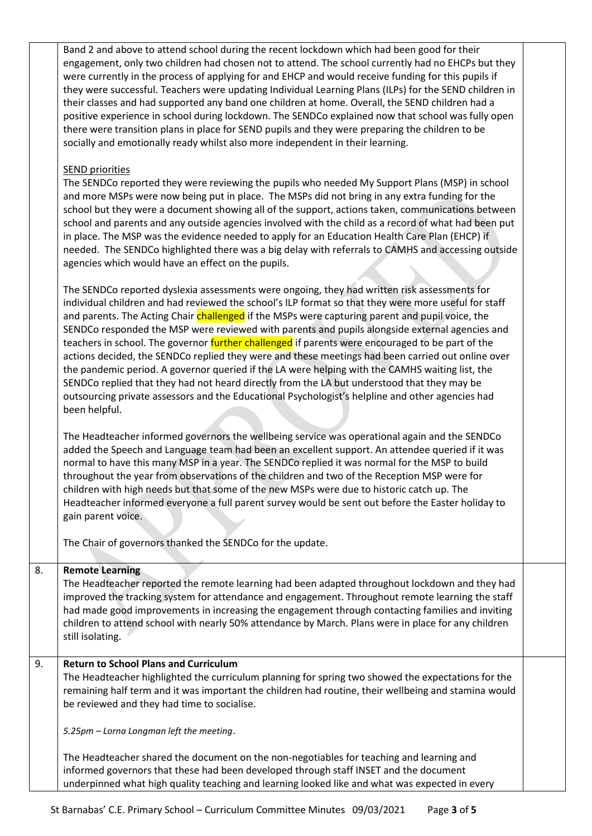Band 2 and above to attend school during the recent lockdown which had been good for their engagement, only two children had chosen not to attend. The school currently had no EHCPs but they were currently in the process of applying for and EHCP and would receive funding for this pupils if they were successful. Teachers were updating Individual Learning Plans (ILPs) for the SEND children in their classes and had supported any band one children at home. Overall, the SEND children had a positive experience in school during lockdown. The SENDCo explained now that school was fully open there were transition plans in place for SEND pupils and they were preparing the children to be socially and emotionally ready whilst also more independent in their learning.

#### SEND priorities

The SENDCo reported they were reviewing the pupils who needed My Support Plans (MSP) in school and more MSPs were now being put in place. The MSPs did not bring in any extra funding for the school but they were a document showing all of the support, actions taken, communications between school and parents and any outside agencies involved with the child as a record of what had been put in place. The MSP was the evidence needed to apply for an Education Health Care Plan (EHCP) if needed. The SENDCo highlighted there was a big delay with referrals to CAMHS and accessing outside agencies which would have an effect on the pupils.

The SENDCo reported dyslexia assessments were ongoing, they had written risk assessments for individual children and had reviewed the school's ILP format so that they were more useful for staff and parents. The Acting Chair *challenged* if the MSPs were capturing parent and pupil voice, the SENDCo responded the MSP were reviewed with parents and pupils alongside external agencies and teachers in school. The governor further challenged if parents were encouraged to be part of the actions decided, the SENDCo replied they were and these meetings had been carried out online over the pandemic period. A governor queried if the LA were helping with the CAMHS waiting list, the SENDCo replied that they had not heard directly from the LA but understood that they may be outsourcing private assessors and the Educational Psychologist's helpline and other agencies had been helpful.

The Headteacher informed governors the wellbeing service was operational again and the SENDCo added the Speech and Language team had been an excellent support. An attendee queried if it was normal to have this many MSP in a year. The SENDCo replied it was normal for the MSP to build throughout the year from observations of the children and two of the Reception MSP were for children with high needs but that some of the new MSPs were due to historic catch up. The Headteacher informed everyone a full parent survey would be sent out before the Easter holiday to gain parent voice.

The Chair of governors thanked the SENDCo for the update.

# 8. **Remote Learning**

The Headteacher reported the remote learning had been adapted throughout lockdown and they had improved the tracking system for attendance and engagement. Throughout remote learning the staff had made good improvements in increasing the engagement through contacting families and inviting children to attend school with nearly 50% attendance by March. Plans were in place for any children still isolating.

# 9. **Return to School Plans and Curriculum**

The Headteacher highlighted the curriculum planning for spring two showed the expectations for the remaining half term and it was important the children had routine, their wellbeing and stamina would be reviewed and they had time to socialise.

*5.25pm – Lorna Longman left the meeting*.

The Headteacher shared the document on the non-negotiables for teaching and learning and informed governors that these had been developed through staff INSET and the document underpinned what high quality teaching and learning looked like and what was expected in every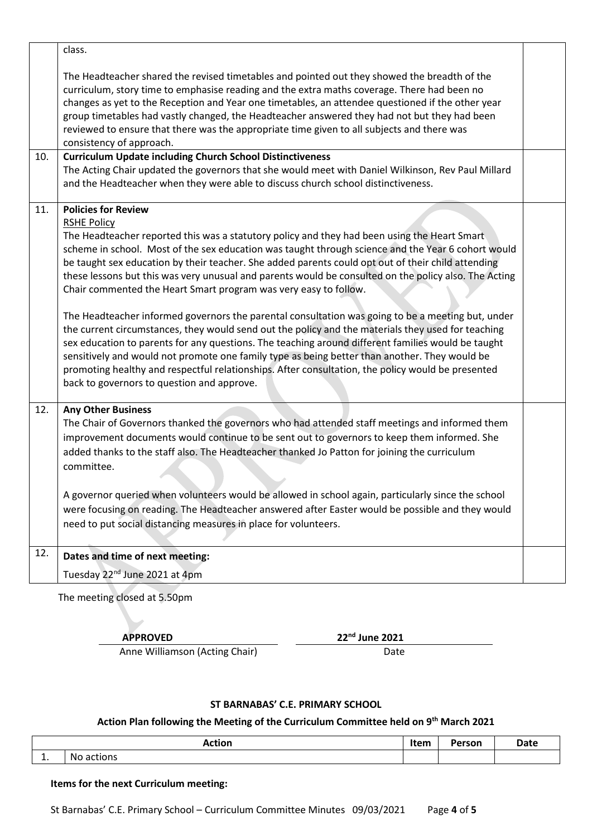|     | class.                                                                                                                                                                                                                                                                                                                                                                                                                                                                                                                                                                                                                                                                                                                                                                                                                                                                                                                                                                                                                                                                                                         |  |
|-----|----------------------------------------------------------------------------------------------------------------------------------------------------------------------------------------------------------------------------------------------------------------------------------------------------------------------------------------------------------------------------------------------------------------------------------------------------------------------------------------------------------------------------------------------------------------------------------------------------------------------------------------------------------------------------------------------------------------------------------------------------------------------------------------------------------------------------------------------------------------------------------------------------------------------------------------------------------------------------------------------------------------------------------------------------------------------------------------------------------------|--|
|     | The Headteacher shared the revised timetables and pointed out they showed the breadth of the<br>curriculum, story time to emphasise reading and the extra maths coverage. There had been no<br>changes as yet to the Reception and Year one timetables, an attendee questioned if the other year<br>group timetables had vastly changed, the Headteacher answered they had not but they had been<br>reviewed to ensure that there was the appropriate time given to all subjects and there was<br>consistency of approach.                                                                                                                                                                                                                                                                                                                                                                                                                                                                                                                                                                                     |  |
| 10. | <b>Curriculum Update including Church School Distinctiveness</b><br>The Acting Chair updated the governors that she would meet with Daniel Wilkinson, Rev Paul Millard<br>and the Headteacher when they were able to discuss church school distinctiveness.                                                                                                                                                                                                                                                                                                                                                                                                                                                                                                                                                                                                                                                                                                                                                                                                                                                    |  |
| 11. | <b>Policies for Review</b><br><b>RSHE Policy</b><br>The Headteacher reported this was a statutory policy and they had been using the Heart Smart<br>scheme in school. Most of the sex education was taught through science and the Year 6 cohort would<br>be taught sex education by their teacher. She added parents could opt out of their child attending<br>these lessons but this was very unusual and parents would be consulted on the policy also. The Acting<br>Chair commented the Heart Smart program was very easy to follow.<br>The Headteacher informed governors the parental consultation was going to be a meeting but, under<br>the current circumstances, they would send out the policy and the materials they used for teaching<br>sex education to parents for any questions. The teaching around different families would be taught<br>sensitively and would not promote one family type as being better than another. They would be<br>promoting healthy and respectful relationships. After consultation, the policy would be presented<br>back to governors to question and approve. |  |
| 12. | <b>Any Other Business</b><br>The Chair of Governors thanked the governors who had attended staff meetings and informed them<br>improvement documents would continue to be sent out to governors to keep them informed. She<br>added thanks to the staff also. The Headteacher thanked Jo Patton for joining the curriculum<br>committee.<br>A governor queried when volunteers would be allowed in school again, particularly since the school<br>were focusing on reading. The Headteacher answered after Easter would be possible and they would<br>need to put social distancing measures in place for volunteers.                                                                                                                                                                                                                                                                                                                                                                                                                                                                                          |  |
| 12. | Dates and time of next meeting:                                                                                                                                                                                                                                                                                                                                                                                                                                                                                                                                                                                                                                                                                                                                                                                                                                                                                                                                                                                                                                                                                |  |
|     | Tuesday 22 <sup>nd</sup> June 2021 at 4pm                                                                                                                                                                                                                                                                                                                                                                                                                                                                                                                                                                                                                                                                                                                                                                                                                                                                                                                                                                                                                                                                      |  |
|     |                                                                                                                                                                                                                                                                                                                                                                                                                                                                                                                                                                                                                                                                                                                                                                                                                                                                                                                                                                                                                                                                                                                |  |

The meeting closed at 5.50pm

**APPROVED 22nd June 2021**

Anne Williamson (Acting Chair) Date

### **ST BARNABAS' C.E. PRIMARY SCHOOL**

#### **Action Plan following the Meeting of the Curriculum Committee held on 9 th March 2021**

|     | <b>Action</b> | <b>Itam</b><br><u>IIEIII</u> | Person | <b>Date</b> |
|-----|---------------|------------------------------|--------|-------------|
| . . | No actions    |                              |        |             |

#### **Items for the next Curriculum meeting:**